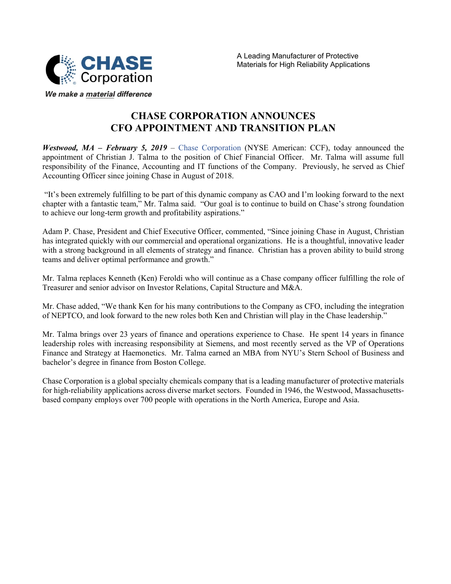

## **CHASE CORPORATION ANNOUNCES CFO APPOINTMENT AND TRANSITION PLAN**

*Westwood, MA – February 5, 2019* – [Chase Corporation](http://www.chasecorp.com/) (NYSE American: CCF), today announced the appointment of Christian J. Talma to the position of Chief Financial Officer. Mr. Talma will assume full responsibility of the Finance, Accounting and IT functions of the Company. Previously, he served as Chief Accounting Officer since joining Chase in August of 2018.

"It's been extremely fulfilling to be part of this dynamic company as CAO and I'm looking forward to the next chapter with a fantastic team," Mr. Talma said. "Our goal is to continue to build on Chase's strong foundation to achieve our long-term growth and profitability aspirations."

Adam P. Chase, President and Chief Executive Officer, commented, "Since joining Chase in August, Christian has integrated quickly with our commercial and operational organizations. He is a thoughtful, innovative leader with a strong background in all elements of strategy and finance. Christian has a proven ability to build strong teams and deliver optimal performance and growth."

Mr. Talma replaces Kenneth (Ken) Feroldi who will continue as a Chase company officer fulfilling the role of Treasurer and senior advisor on Investor Relations, Capital Structure and M&A.

Mr. Chase added, "We thank Ken for his many contributions to the Company as CFO, including the integration of NEPTCO, and look forward to the new roles both Ken and Christian will play in the Chase leadership."

Mr. Talma brings over 23 years of finance and operations experience to Chase. He spent 14 years in finance leadership roles with increasing responsibility at Siemens, and most recently served as the VP of Operations Finance and Strategy at Haemonetics. Mr. Talma earned an MBA from NYU's Stern School of Business and bachelor's degree in finance from Boston College.

Chase Corporation is a global specialty chemicals company that is a leading manufacturer of protective materials for high-reliability applications across diverse market sectors. Founded in 1946, the Westwood, Massachusettsbased company employs over 700 people with operations in the North America, Europe and Asia.